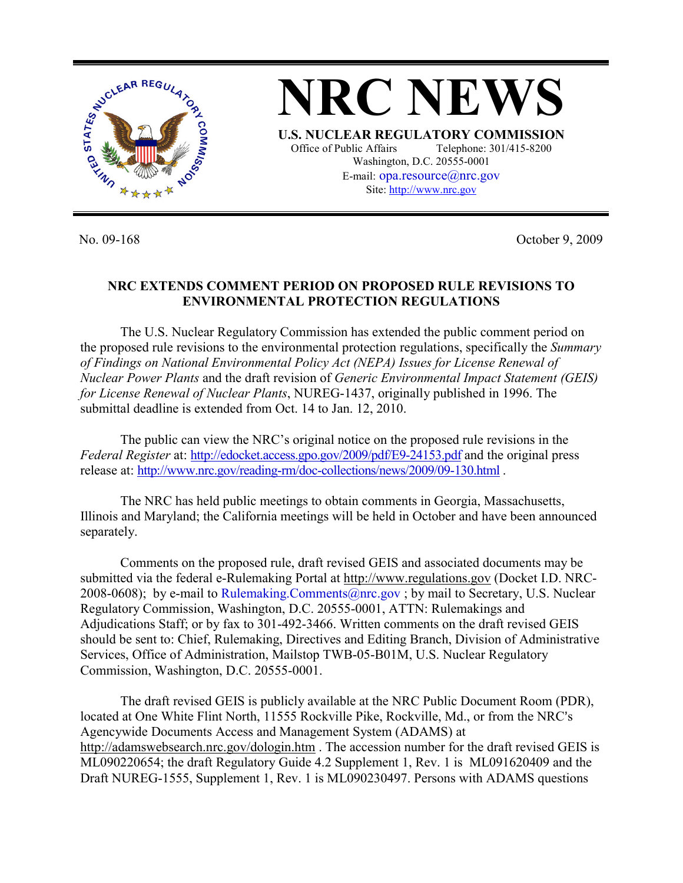

**NRC NEWS U.S. NUCLEAR REGULATORY COMMISSION** Office of Public Affairs Telephone: 301/415-8200 Washington, D.C. 20555-0001 E-mail: opa.resource@nrc.gov Site: http://www.nrc.gov

No. 09-168 October 9, 2009

## **NRC EXTENDS COMMENT PERIOD ON PROPOSED RULE REVISIONS TO ENVIRONMENTAL PROTECTION REGULATIONS**

 The U.S. Nuclear Regulatory Commission has extended the public comment period on the proposed rule revisions to the environmental protection regulations, specifically the *Summary of Findings on National Environmental Policy Act (NEPA) Issues for License Renewal of Nuclear Power Plants* and the draft revision of *Generic Environmental Impact Statement (GEIS) for License Renewal of Nuclear Plants*, NUREG-1437, originally published in 1996. The submittal deadline is extended from Oct. 14 to Jan. 12, 2010.

 The public can view the NRC's original notice on the proposed rule revisions in the *Federal Register* at: http://edocket.access.gpo.gov/2009/pdf/E9-24153.pdf and the original press release at: http://www.nrc.gov/reading-rm/doc-collections/news/2009/09-130.html .

The NRC has held public meetings to obtain comments in Georgia, Massachusetts, Illinois and Maryland; the California meetings will be held in October and have been announced separately.

 Comments on the proposed rule, draft revised GEIS and associated documents may be submitted via the federal e-Rulemaking Portal at http://www.regulations.gov (Docket I.D. NRC-2008-0608); by e-mail to Rulemaking.Comments@nrc.gov; by mail to Secretary, U.S. Nuclear Regulatory Commission, Washington, D.C. 20555-0001, ATTN: Rulemakings and Adjudications Staff; or by fax to 301-492-3466. Written comments on the draft revised GEIS should be sent to: Chief, Rulemaking, Directives and Editing Branch, Division of Administrative Services, Office of Administration, Mailstop TWB-05-B01M, U.S. Nuclear Regulatory Commission, Washington, D.C. 20555-0001.

The draft revised GEIS is publicly available at the NRC Public Document Room (PDR), located at One White Flint North, 11555 Rockville Pike, Rockville, Md., or from the NRC's Agencywide Documents Access and Management System (ADAMS) at http://adamswebsearch.nrc.gov/dologin.htm . The accession number for the draft revised GEIS is ML090220654; the draft Regulatory Guide 4.2 Supplement 1, Rev. 1 is ML091620409 and the Draft NUREG-1555, Supplement 1, Rev. 1 is ML090230497. Persons with ADAMS questions